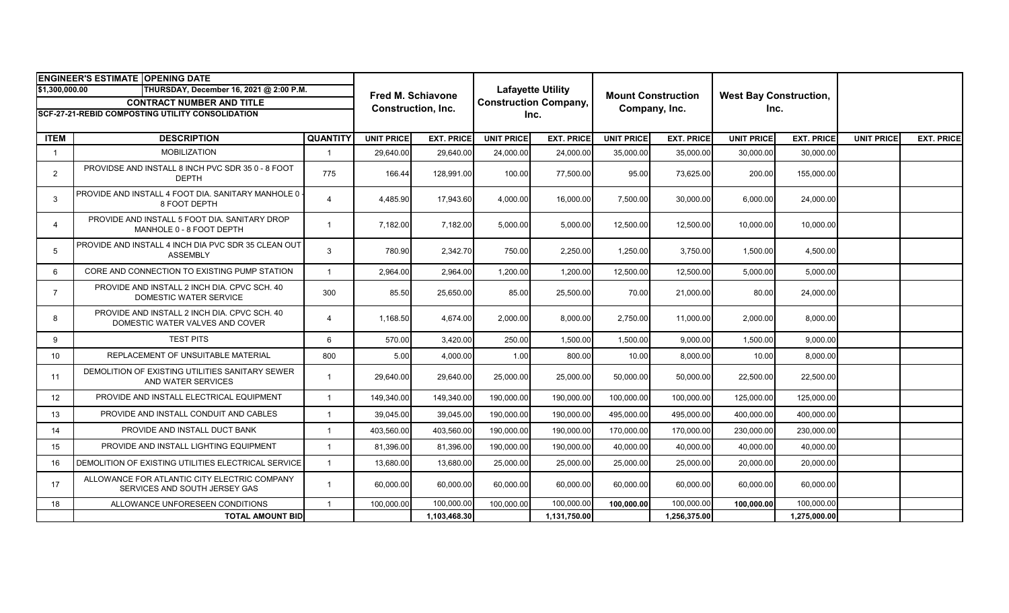| <b>ENGINEER'S ESTIMATE OPENING DATE</b>                   |                                                                                 |                 |                                                |                   |                                                                  |                   |                                            |                   |                                       |                   |                   |                   |
|-----------------------------------------------------------|---------------------------------------------------------------------------------|-----------------|------------------------------------------------|-------------------|------------------------------------------------------------------|-------------------|--------------------------------------------|-------------------|---------------------------------------|-------------------|-------------------|-------------------|
| \$1,300,000.00<br>THURSDAY, December 16, 2021 @ 2:00 P.M. |                                                                                 |                 | <b>Fred M. Schiavone</b><br>Construction, Inc. |                   | <b>Lafayette Utility</b><br><b>Construction Company,</b><br>Inc. |                   | <b>Mount Construction</b><br>Company, Inc. |                   | <b>West Bay Construction,</b><br>Inc. |                   |                   |                   |
| <b>CONTRACT NUMBER AND TITLE</b>                          |                                                                                 |                 |                                                |                   |                                                                  |                   |                                            |                   |                                       |                   |                   |                   |
| <b>SCF-27-21-REBID COMPOSTING UTILITY CONSOLIDATION</b>   |                                                                                 |                 |                                                |                   |                                                                  |                   |                                            |                   |                                       |                   |                   |                   |
|                                                           |                                                                                 |                 |                                                |                   |                                                                  |                   |                                            |                   |                                       |                   |                   |                   |
| <b>ITEM</b>                                               | <b>DESCRIPTION</b>                                                              | <b>QUANTITY</b> | <b>UNIT PRICE</b>                              | <b>EXT. PRICE</b> | <b>UNIT PRICE</b>                                                | <b>EXT. PRICE</b> | <b>UNIT PRICE</b>                          | <b>EXT. PRICE</b> | <b>UNIT PRICE</b>                     | <b>EXT. PRICE</b> | <b>UNIT PRICE</b> | <b>EXT. PRICE</b> |
| $\overline{1}$                                            | <b>MOBILIZATION</b>                                                             |                 | 29,640.00                                      | 29,640.00         | 24,000.00                                                        | 24,000.00         | 35,000.00                                  | 35,000.00         | 30,000.00                             | 30,000.00         |                   |                   |
| 2                                                         | PROVIDSE AND INSTALL 8 INCH PVC SDR 35 0 - 8 FOOT<br><b>DEPTH</b>               | 775             | 166.44                                         | 128,991.00        | 100.00                                                           | 77,500.00         | 95.00                                      | 73,625.00         | 200.00                                | 155,000.00        |                   |                   |
| 3                                                         | PROVIDE AND INSTALL 4 FOOT DIA. SANITARY MANHOLE 0<br>8 FOOT DEPTH              | $\overline{4}$  | 4,485.90                                       | 17,943.60         | 4,000.00                                                         | 16,000.00         | 7,500.00                                   | 30,000.00         | 6,000.00                              | 24,000.00         |                   |                   |
| 4                                                         | PROVIDE AND INSTALL 5 FOOT DIA. SANITARY DROP<br>MANHOLE 0 - 8 FOOT DEPTH       | $\overline{1}$  | 7,182.00                                       | 7,182.00          | 5,000.00                                                         | 5,000.00          | 12,500.00                                  | 12,500.00         | 10,000.00                             | 10,000.00         |                   |                   |
| 5                                                         | PROVIDE AND INSTALL 4 INCH DIA PVC SDR 35 CLEAN OUT<br><b>ASSEMBLY</b>          | 3               | 780.90                                         | 2,342.70          | 750.00                                                           | 2,250.00          | 1,250.00                                   | 3,750.00          | 1,500.00                              | 4,500.00          |                   |                   |
| 6                                                         | CORE AND CONNECTION TO EXISTING PUMP STATION                                    | $\overline{1}$  | 2,964.00                                       | 2,964.00          | 1,200.00                                                         | 1,200.00          | 12,500.00                                  | 12,500.00         | 5,000.00                              | 5,000.00          |                   |                   |
| $\overline{7}$                                            | PROVIDE AND INSTALL 2 INCH DIA. CPVC SCH. 40<br>DOMESTIC WATER SERVICE          | 300             | 85.50                                          | 25,650.00         | 85.00                                                            | 25,500.00         | 70.00                                      | 21,000.00         | 80.00                                 | 24,000.00         |                   |                   |
| 8                                                         | PROVIDE AND INSTALL 2 INCH DIA, CPVC SCH, 40<br>DOMESTIC WATER VALVES AND COVER | $\overline{4}$  | 1,168.50                                       | 4,674.00          | 2,000.00                                                         | 8,000.00          | 2,750.00                                   | 11,000.00         | 2,000.00                              | 8,000.00          |                   |                   |
| 9                                                         | <b>TEST PITS</b>                                                                | 6               | 570.00                                         | 3,420.00          | 250.00                                                           | 1,500.00          | 1,500.00                                   | 9,000.00          | 1,500.00                              | 9,000.00          |                   |                   |
| 10                                                        | REPLACEMENT OF UNSUITABLE MATERIAL                                              | 800             | 5.00                                           | 4,000.00          | 1.00                                                             | 800.00            | 10.00                                      | 8,000.00          | 10.00                                 | 8,000.00          |                   |                   |
| 11                                                        | DEMOLITION OF EXISTING UTILITIES SANITARY SEWER<br>AND WATER SERVICES           | -1              | 29,640.00                                      | 29,640.00         | 25,000.00                                                        | 25,000.00         | 50,000.00                                  | 50,000.00         | 22,500.00                             | 22,500.00         |                   |                   |
| 12                                                        | PROVIDE AND INSTALL ELECTRICAL EQUIPMENT                                        | $\overline{1}$  | 149,340.00                                     | 149,340.00        | 190,000.00                                                       | 190,000.00        | 100,000.00                                 | 100,000.00        | 125,000.00                            | 125,000.00        |                   |                   |
| 13                                                        | PROVIDE AND INSTALL CONDUIT AND CABLES                                          | $\overline{1}$  | 39,045.00                                      | 39,045.00         | 190,000.00                                                       | 190,000.00        | 495,000.00                                 | 495,000.00        | 400,000.00                            | 400,000.00        |                   |                   |
| 14                                                        | PROVIDE AND INSTALL DUCT BANK                                                   | $\overline{1}$  | 403,560.00                                     | 403,560.00        | 190,000.00                                                       | 190,000.00        | 170,000.00                                 | 170,000.00        | 230,000.00                            | 230,000.00        |                   |                   |
| 15                                                        | PROVIDE AND INSTALL LIGHTING EQUIPMENT                                          | $\overline{1}$  | 81,396.00                                      | 81,396.00         | 190,000.00                                                       | 190,000.00        | 40,000.00                                  | 40,000.00         | 40,000.00                             | 40,000.00         |                   |                   |
| 16                                                        | DEMOLITION OF EXISTING UTILITIES ELECTRICAL SERVICE                             | $\mathbf{1}$    | 13,680.00                                      | 13,680.00         | 25,000.00                                                        | 25,000.00         | 25,000.00                                  | 25,000.00         | 20,000.00                             | 20,000.00         |                   |                   |
| 17                                                        | ALLOWANCE FOR ATLANTIC CITY ELECTRIC COMPANY<br>SERVICES AND SOUTH JERSEY GAS   | $\overline{1}$  | 60,000.00                                      | 60,000.00         | 60,000.00                                                        | 60,000.00         | 60,000.00                                  | 60,000.00         | 60,000.00                             | 60,000.00         |                   |                   |
| 18                                                        | ALLOWANCE UNFORESEEN CONDITIONS                                                 | $\overline{1}$  | 100,000.00                                     | 100,000.00        | 100.000.00                                                       | 100,000.00        | 100.000.00                                 | 100,000.00        | 100.000.00                            | 100,000.00        |                   |                   |
|                                                           | <b>TOTAL AMOUNT BID</b>                                                         |                 |                                                | 1,103,468.30      |                                                                  | 1,131,750.00      |                                            | 1,256,375.00      |                                       | 1,275,000.00      |                   |                   |